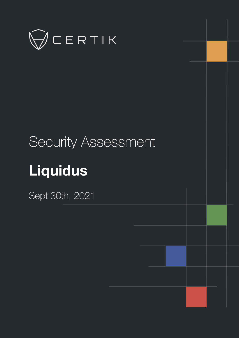

# Security Assessment **Liquidus**

Sept 30th, 2021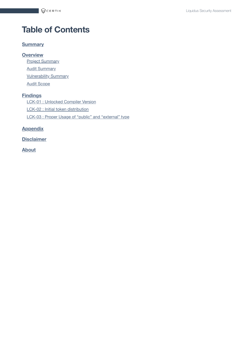# **Table of Contents**

#### **[Summary](#page-2-0)**

**[Overview](#page-3-0)**

**Project [Summary](#page-3-1)** 

**Audit [Summary](#page-3-2)** 

**[Vulnerability Summary](#page-3-3)** 

Audit [Scope](#page-4-0)

#### **[Findings](#page-5-0)**

LCK-01 : [Unlocked](#page-6-0) Compiler Version

LCK-02 : Initial token [distribution](#page-7-0)

LCK-03 : Proper Usage of "public" and ["external"](#page-8-0) type

#### **[Appendix](#page-9-0)**

**[Disclaimer](#page-10-0)**

**[About](#page-13-0)**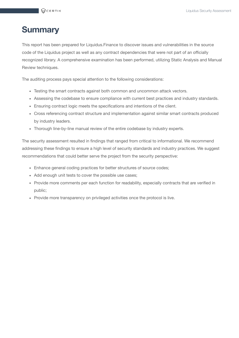# <span id="page-2-0"></span>**Summary**

This report has been prepared for Liquidus.Finance to discover issues and vulnerabilities in the source code of the Liquidus project as well as any contract dependencies that were not part of an officially recognized library. A comprehensive examination has been performed, utilizing Static Analysis and Manual Review techniques.

The auditing process pays special attention to the following considerations:

- Testing the smart contracts against both common and uncommon attack vectors.
- Assessing the codebase to ensure compliance with current best practices and industry standards.
- Ensuring contract logic meets the specifications and intentions of the client.
- Cross referencing contract structure and implementation against similar smart contracts produced by industry leaders.
- Thorough line-by-line manual review of the entire codebase by industry experts.

The security assessment resulted in findings that ranged from critical to informational. We recommend addressing these findings to ensure a high level of security standards and industry practices. We suggest recommendations that could better serve the project from the security perspective:

- Enhance general coding practices for better structures of source codes;
- Add enough unit tests to cover the possible use cases;
- Provide more comments per each function for readability, especially contracts that are verified in public;
- Provide more transparency on privileged activities once the protocol is live.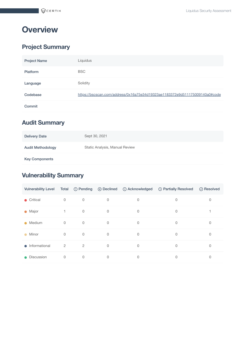# <span id="page-3-0"></span>**Overview**

# <span id="page-3-1"></span>**Project Summary**

| <b>Project Name</b> | Liquidus                                                                    |
|---------------------|-----------------------------------------------------------------------------|
| <b>Platform</b>     | <b>BSC</b>                                                                  |
| Language            | Solidity                                                                    |
| Codebase            | https://bscscan.com/address/0x16a75e34d19323ae1183372e9d511175009140a0#code |
| Commit              |                                                                             |

# <span id="page-3-2"></span>**Audit Summary**

| <b>Delivery Date</b>     | Sept 30, 2021                  |
|--------------------------|--------------------------------|
| <b>Audit Methodology</b> | Static Analysis, Manual Review |
| <b>Key Components</b>    |                                |

# <span id="page-3-3"></span>**Vulnerability Summary**

| <b>Vulnerability Level</b> | Total          |                | $\circledcirc$ Pending $\circledcirc$ Declined | <b>O</b> Acknowledged | <b>Be</b> Partially Resolved | ⊙ Resolved  |
|----------------------------|----------------|----------------|------------------------------------------------|-----------------------|------------------------------|-------------|
| • Critical                 | $\mathbf 0$    | $\mathbf 0$    | 0                                              | 0                     | $\mathbf 0$                  | 0           |
| $\bullet$ Major            | 1.             | $\mathbf 0$    | $\mathbf 0$                                    | 0                     | $\mathbf 0$                  |             |
| Medium<br>$\bullet$        | $\mathbf{0}$   | $\mathbf 0$    | $\Omega$                                       | $\mathbf 0$           | $\Omega$                     | 0           |
| Minor<br>$\bullet$         | $\mathbf 0$    | $\mathbf 0$    | $\mathbf 0$                                    | 0                     | $\mathbf 0$                  | 0           |
| Informational<br>$\bullet$ | $\overline{2}$ | $\overline{2}$ | $\Omega$                                       | 0                     | $\Omega$                     | 0           |
| Discussion<br>$\bullet$    | $\mathbf 0$    | $\mathbf 0$    | $\mathbf 0$                                    | 0                     | 0                            | $\mathbf 0$ |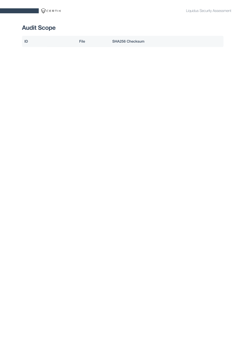# <span id="page-4-0"></span>**Audit Scope**

|  | ID |  | File | SHA256 Checksum |
|--|----|--|------|-----------------|
|--|----|--|------|-----------------|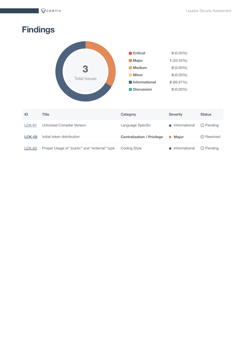$\bigcirc$ CERTIK

# <span id="page-5-0"></span>**Findings**



| ID            | Title                                        | Category                          | <b>Severity</b> | <b>Status</b>      |
|---------------|----------------------------------------------|-----------------------------------|-----------------|--------------------|
| $LCK-01$      | Unlocked Compiler Version                    | Language Specific                 | • Informational | (!) Pending        |
| <b>LCK-02</b> | Initial token distribution                   | <b>Centralization / Privilege</b> | • Maior         | $\oslash$ Resolved |
| <b>LCK-03</b> | Proper Usage of "public" and "external" type | Coding Style                      | • Informational | ① Pending          |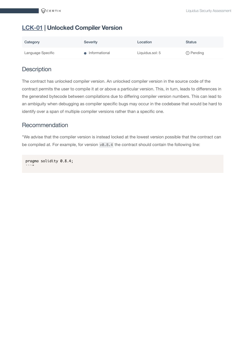# <span id="page-6-0"></span>**[LCK-01](https://accelerator.audit.certikpowered.info/project/e091f5c0-fc74-11eb-8edc-1b7f67f46200/report?fid=1631409901551) | Unlocked Compiler Version**

| Category          | <b>Severity</b> | Location        | <b>Status</b> |
|-------------------|-----------------|-----------------|---------------|
| Language Specific | • Informational | Liquidus.sol: 5 | ① Pending     |

## **Description**

The contract has unlocked compiler version. An unlocked compiler version in the source code of the contract permits the user to compile it at or above a particular version. This, in turn, leads to differences in the generated bytecode between compilations due to differing compiler version numbers. This can lead to an ambiguity when debugging as compiler specific bugs may occur in the codebase that would be hard to identify over a span of multiple compiler versions rather than a specific one.

## Recommendation

"We advise that the compiler version is instead locked at the lowest version possible that the contract can be compiled at. For example, for version v0.8.4 the contract should contain the following line:

pragma solidity 0.8.4;  $\ldots$ "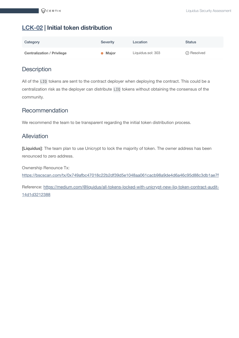# <span id="page-7-0"></span>**[LCK-02](https://accelerator.audit.certikpowered.info/project/e091f5c0-fc74-11eb-8edc-1b7f67f46200/report?fid=1631410067845) | Initial token distribution**

| Category                          | <b>Severity</b> | Location          | <b>Status</b>      |
|-----------------------------------|-----------------|-------------------|--------------------|
| <b>Centralization / Privilege</b> | <b>▶ Major</b>  | Liquidus.sol: 303 | $\oslash$ Resolved |

## **Description**

All of the LIQ tokens are sent to the contract deployer when deploying the contract. This could be a centralization risk as the deployer can distribute LIQ tokens without obtaining the consensus of the community.

## Recommendation

We recommend the team to be transparent regarding the initial token distribution process.

## Alleviation

**[Liquidus]**: The team plan to use Unicrypt to lock the majority of token. The owner address has been renounced to zero address.

Ownership Renounce Tx: <https://bscscan.com/tx/0x749afbc47018c22b2df39d5e1048aa061cacb98a9de4d6a46c95d88c3db1ae7f>

Reference: [https://medium.com/@liquidus/all-tokens-locked-with-unicrypt-new-liq-token-contract-audit-](https://medium.com/@liquidus/all-tokens-locked-with-unicrypt-new-liq-token-contract-audit-14d1d3212388)14d1d3212388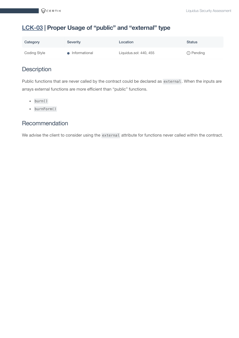# <span id="page-8-0"></span>**[LCK-03](https://accelerator.audit.certikpowered.info/project/e091f5c0-fc74-11eb-8edc-1b7f67f46200/report?fid=1631410317484) | Proper Usage of "public" and "external" type**

| Category            | <b>Severity</b> | Location               | <b>Status</b> |
|---------------------|-----------------|------------------------|---------------|
| <b>Coding Style</b> | • Informational | Liquidus.sol: 440, 455 | ① Pending     |

## **Description**

Public functions that are never called by the contract could be declared as external. When the inputs are arrays external functions are more efficient than "public" functions.

- $\bullet$  burn()
- burnForm()

## Recommendation

We advise the client to consider using the external attribute for functions never called within the contract.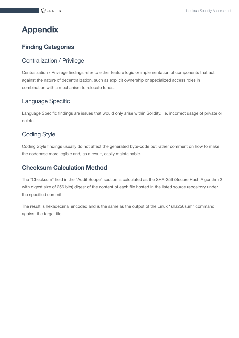# <span id="page-9-0"></span>**Appendix**

## **Finding Categories**

#### Centralization / Privilege

Centralization / Privilege findings refer to either feature logic or implementation of components that act against the nature of decentralization, such as explicit ownership or specialized access roles in combination with a mechanism to relocate funds.

#### Language Specific

Language Specific findings are issues that would only arise within Solidity, i.e. incorrect usage of private or delete.

### Coding Style

Coding Style findings usually do not affect the generated byte-code but rather comment on how to make the codebase more legible and, as a result, easily maintainable.

## **Checksum Calculation Method**

The "Checksum" field in the "Audit Scope" section is calculated as the SHA-256 (Secure Hash Algorithm 2 with digest size of 256 bits) digest of the content of each file hosted in the listed source repository under the specified commit.

The result is hexadecimal encoded and is the same as the output of the Linux "sha256sum" command against the target file.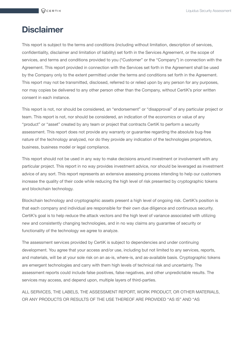# <span id="page-10-0"></span>**Disclaimer**

This report is subject to the terms and conditions (including without limitation, description of services, confidentiality, disclaimer and limitation of liability) set forth in the Services Agreement, or the scope of services, and terms and conditions provided to you ("Customer" or the "Company") in connection with the Agreement. This report provided in connection with the Services set forth in the Agreement shall be used by the Company only to the extent permitted under the terms and conditions set forth in the Agreement. This report may not be transmitted, disclosed, referred to or relied upon by any person for any purposes, nor may copies be delivered to any other person other than the Company, without CertiK's prior written consent in each instance.

This report is not, nor should be considered, an "endorsement" or "disapproval" of any particular project or team. This report is not, nor should be considered, an indication of the economics or value of any "product" or "asset" created by any team or project that contracts CertiK to perform a security assessment. This report does not provide any warranty or guarantee regarding the absolute bug-free nature of the technology analyzed, nor do they provide any indication of the technologies proprietors, business, business model or legal compliance.

This report should not be used in any way to make decisions around investment or involvement with any particular project. This report in no way provides investment advice, nor should be leveraged as investment advice of any sort. This report represents an extensive assessing process intending to help our customers increase the quality of their code while reducing the high level of risk presented by cryptographic tokens and blockchain technology.

Blockchain technology and cryptographic assets present a high level of ongoing risk. CertiK's position is that each company and individual are responsible for their own due diligence and continuous security. CertiK's goal is to help reduce the attack vectors and the high level of variance associated with utilizing new and consistently changing technologies, and in no way claims any guarantee of security or functionality of the technology we agree to analyze.

The assessment services provided by CertiK is subject to dependencies and under continuing development. You agree that your access and/or use, including but not limited to any services, reports, and materials, will be at your sole risk on an as-is, where-is, and as-available basis. Cryptographic tokens are emergent technologies and carry with them high levels of technical risk and uncertainty. The assessment reports could include false positives, false negatives, and other unpredictable results. The services may access, and depend upon, multiple layers of third-parties.

ALL SERVICES, THE LABELS, THE ASSESSMENT REPORT, WORK PRODUCT, OR OTHER MATERIALS, OR ANY PRODUCTS OR RESULTS OF THE USE THEREOF ARE PROVIDED "AS IS" AND "AS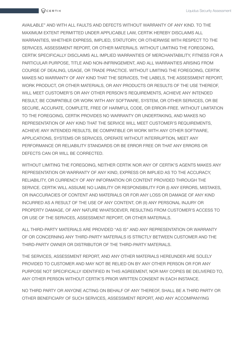AVAILABLE" AND WITH ALL FAULTS AND DEFECTS WITHOUT WARRANTY OF ANY KIND. TO THE MAXIMUM EXTENT PERMITTED UNDER APPLICABLE LAW, CERTIK HEREBY DISCLAIMS ALL WARRANTIES, WHETHER EXPRESS, IMPLIED, STATUTORY, OR OTHERWISE WITH RESPECT TO THE SERVICES, ASSESSMENT REPORT, OR OTHER MATERIALS. WITHOUT LIMITING THE FOREGOING, CERTIK SPECIFICALLY DISCLAIMS ALL IMPLIED WARRANTIES OF MERCHANTABILITY, FITNESS FOR A PARTICULAR PURPOSE, TITLE AND NON-INFRINGEMENT, AND ALL WARRANTIES ARISING FROM COURSE OF DEALING, USAGE, OR TRADE PRACTICE. WITHOUT LIMITING THE FOREGOING, CERTIK MAKES NO WARRANTY OF ANY KIND THAT THE SERVICES, THE LABELS, THE ASSESSMENT REPORT, WORK PRODUCT, OR OTHER MATERIALS, OR ANY PRODUCTS OR RESULTS OF THE USE THEREOF, WILL MEET CUSTOMER'S OR ANY OTHER PERSON'S REQUIREMENTS, ACHIEVE ANY INTENDED RESULT, BE COMPATIBLE OR WORK WITH ANY SOFTWARE, SYSTEM, OR OTHER SERVICES, OR BE SECURE, ACCURATE, COMPLETE, FREE OF HARMFUL CODE, OR ERROR-FREE. WITHOUT LIMITATION TO THE FOREGOING, CERTIK PROVIDES NO WARRANTY OR UNDERTAKING, AND MAKES NO REPRESENTATION OF ANY KIND THAT THE SERVICE WILL MEET CUSTOMER'S REQUIREMENTS, ACHIEVE ANY INTENDED RESULTS, BE COMPATIBLE OR WORK WITH ANY OTHER SOFTWARE, APPLICATIONS, SYSTEMS OR SERVICES, OPERATE WITHOUT INTERRUPTION, MEET ANY PERFORMANCE OR RELIABILITY STANDARDS OR BE ERROR FREE OR THAT ANY ERRORS OR DEFECTS CAN OR WILL BE CORRECTED.

WITHOUT LIMITING THE FOREGOING, NEITHER CERTIK NOR ANY OF CERTIK'S AGENTS MAKES ANY REPRESENTATION OR WARRANTY OF ANY KIND, EXPRESS OR IMPLIED AS TO THE ACCURACY, RELIABILITY, OR CURRENCY OF ANY INFORMATION OR CONTENT PROVIDED THROUGH THE SERVICE. CERTIK WILL ASSUME NO LIABILITY OR RESPONSIBILITY FOR (I) ANY ERRORS, MISTAKES, OR INACCURACIES OF CONTENT AND MATERIALS OR FOR ANY LOSS OR DAMAGE OF ANY KIND INCURRED AS A RESULT OF THE USE OF ANY CONTENT, OR (II) ANY PERSONAL INJURY OR PROPERTY DAMAGE, OF ANY NATURE WHATSOEVER, RESULTING FROM CUSTOMER'S ACCESS TO OR USE OF THE SERVICES, ASSESSMENT REPORT, OR OTHER MATERIALS.

ALL THIRD-PARTY MATERIALS ARE PROVIDED "AS IS" AND ANY REPRESENTATION OR WARRANTY OF OR CONCERNING ANY THIRD-PARTY MATERIALS IS STRICTLY BETWEEN CUSTOMER AND THE THIRD-PARTY OWNER OR DISTRIBUTOR OF THE THIRD-PARTY MATERIALS.

THE SERVICES, ASSESSMENT REPORT, AND ANY OTHER MATERIALS HEREUNDER ARE SOLELY PROVIDED TO CUSTOMER AND MAY NOT BE RELIED ON BY ANY OTHER PERSON OR FOR ANY PURPOSE NOT SPECIFICALLY IDENTIFIED IN THIS AGREEMENT, NOR MAY COPIES BE DELIVERED TO, ANY OTHER PERSON WITHOUT CERTIK'S PRIOR WRITTEN CONSENT IN EACH INSTANCE.

NO THIRD PARTY OR ANYONE ACTING ON BEHALF OF ANY THEREOF, SHALL BE A THIRD PARTY OR OTHER BENEFICIARY OF SUCH SERVICES, ASSESSMENT REPORT, AND ANY ACCOMPANYING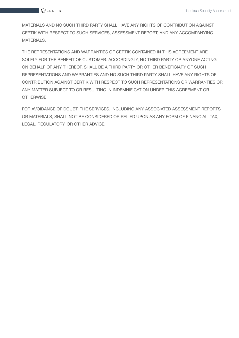

MATERIALS AND NO SUCH THIRD PARTY SHALL HAVE ANY RIGHTS OF CONTRIBUTION AGAINST CERTIK WITH RESPECT TO SUCH SERVICES, ASSESSMENT REPORT, AND ANY ACCOMPANYING MATERIALS.

THE REPRESENTATIONS AND WARRANTIES OF CERTIK CONTAINED IN THIS AGREEMENT ARE SOLELY FOR THE BENEFIT OF CUSTOMER. ACCORDINGLY, NO THIRD PARTY OR ANYONE ACTING ON BEHALF OF ANY THEREOF, SHALL BE A THIRD PARTY OR OTHER BENEFICIARY OF SUCH REPRESENTATIONS AND WARRANTIES AND NO SUCH THIRD PARTY SHALL HAVE ANY RIGHTS OF CONTRIBUTION AGAINST CERTIK WITH RESPECT TO SUCH REPRESENTATIONS OR WARRANTIES OR ANY MATTER SUBJECT TO OR RESULTING IN INDEMNIFICATION UNDER THIS AGREEMENT OR OTHERWISE.

FOR AVOIDANCE OF DOUBT, THE SERVICES, INCLUDING ANY ASSOCIATED ASSESSMENT REPORTS OR MATERIALS, SHALL NOT BE CONSIDERED OR RELIED UPON AS ANY FORM OF FINANCIAL, TAX, LEGAL, REGULATORY, OR OTHER ADVICE.